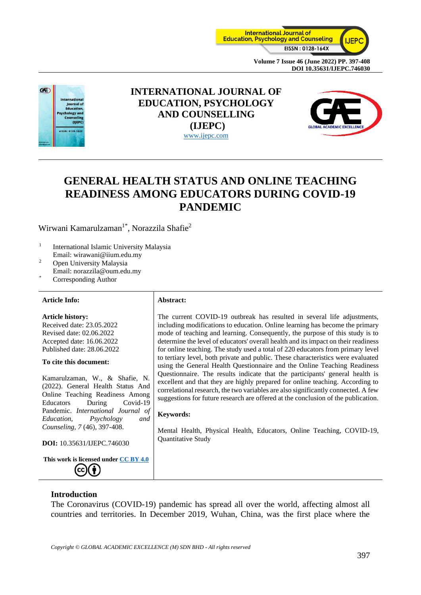



## **INTERNATIONAL JOURNAL OF EDUCATION, PSYCHOLOGY AND COUNSELLING (IJEPC)** [www.ijepc.com](http://www.ijepc.com/)



# **GENERAL HEALTH STATUS AND ONLINE TEACHING READINESS AMONG EDUCATORS DURING COVID-19 PANDEMIC**

Wirwani Kamarulzaman<sup>1\*</sup>, Norazzila Shafie<sup>2</sup>

- 1 International Islamic University Malaysia Email: wirawani@iium.edu.my
- <sup>2</sup> Open University Malaysia Email: norazzila@oum.edu.my
- Corresponding Author

#### **Article Info: Abstract:**

## **Article history:**

Received date: 23.05.2022 Revised date: 02.06.2022 Accepted date: 16.06.2022 Published date: 28.06.2022

#### **To cite this document:**

Kamarulzaman, W., & Shafie, N. (2022). General Health Status And Online Teaching Readiness Among Educators During Covid-19 Pandemic. *International Journal of Education, Psychology and Counseling, 7* (46), 397-408.

**DOI:** 10.35631/IJEPC.746030

**This work is licensed under [CC BY 4.0](https://creativecommons.org/licenses/by/4.0/?ref=chooser-v1)**  $\left(\mathrm{cc}\right)\left(\frac{1}{2}\right)$ 

The current COVID-19 outbreak has resulted in several life adjustments, including modifications to education. Online learning has become the primary mode of teaching and learning. Consequently, the purpose of this study is to determine the level of educators' overall health and its impact on their readiness for online teaching. The study used a total of 220 educators from primary level to tertiary level, both private and public. These characteristics were evaluated using the General Health Questionnaire and the Online Teaching Readiness Questionnaire. The results indicate that the participants' general health is excellent and that they are highly prepared for online teaching. According to correlational research, the two variables are also significantly connected. A few suggestions for future research are offered at the conclusion of the publication.

#### **Keywords:**

Mental Health, Physical Health, Educators, Online Teaching, COVID-19, Quantitative Study

#### **Introduction**

The Coronavirus (COVID-19) pandemic has spread all over the world, affecting almost all countries and territories. In December 2019, Wuhan, China, was the first place where the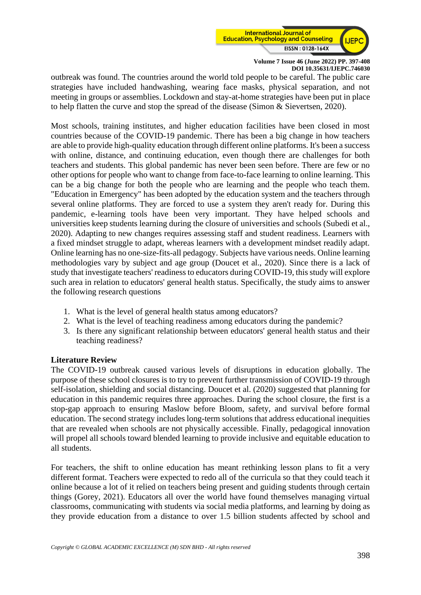

outbreak was found. The countries around the world told people to be careful. The public care strategies have included handwashing, wearing face masks, physical separation, and not meeting in groups or assemblies. Lockdown and stay-at-home strategies have been put in place to help flatten the curve and stop the spread of the disease (Simon & Sievertsen, 2020).

Most schools, training institutes, and higher education facilities have been closed in most countries because of the COVID-19 pandemic. There has been a big change in how teachers are able to provide high-quality education through different online platforms. It's been a success with online, distance, and continuing education, even though there are challenges for both teachers and students. This global pandemic has never been seen before. There are few or no other options for people who want to change from face-to-face learning to online learning. This can be a big change for both the people who are learning and the people who teach them. "Education in Emergency" has been adopted by the education system and the teachers through several online platforms. They are forced to use a system they aren't ready for. During this pandemic, e-learning tools have been very important. They have helped schools and universities keep students learning during the closure of universities and schools (Subedi et al., 2020). Adapting to new changes requires assessing staff and student readiness. Learners with a fixed mindset struggle to adapt, whereas learners with a development mindset readily adapt. Online learning has no one-size-fits-all pedagogy. Subjects have various needs. Online learning methodologies vary by subject and age group (Doucet et al., 2020). Since there is a lack of study that investigate teachers' readiness to educators during COVID-19, this study will explore such area in relation to educators' general health status. Specifically, the study aims to answer the following research questions

- 1. What is the level of general health status among educators?
- 2. What is the level of teaching readiness among educators during the pandemic?
- 3. Is there any significant relationship between educators' general health status and their teaching readiness?

#### **Literature Review**

The COVID-19 outbreak caused various levels of disruptions in education globally. The purpose of these school closures is to try to prevent further transmission of COVID-19 through self-isolation, shielding and social distancing. Doucet et al. (2020) suggested that planning for education in this pandemic requires three approaches. During the school closure, the first is a stop-gap approach to ensuring Maslow before Bloom, safety, and survival before formal education. The second strategy includes long-term solutions that address educational inequities that are revealed when schools are not physically accessible. Finally, pedagogical innovation will propel all schools toward blended learning to provide inclusive and equitable education to all students.

For teachers, the shift to online education has meant rethinking lesson plans to fit a very different format. Teachers were expected to redo all of the curricula so that they could teach it online because a lot of it relied on teachers being present and guiding students through certain things (Gorey, 2021). Educators all over the world have found themselves managing virtual classrooms, communicating with students via social media platforms, and learning by doing as they provide education from a distance to over 1.5 billion students affected by school and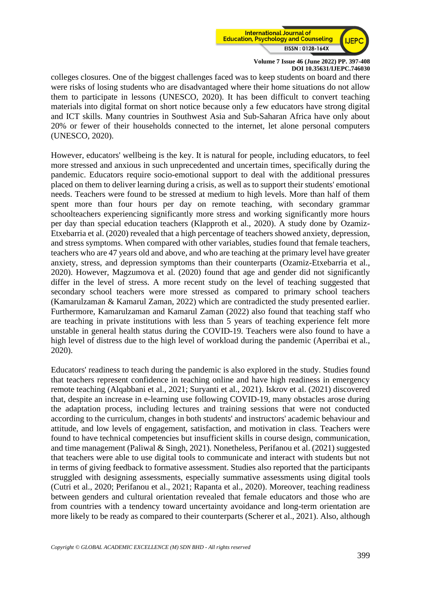

colleges closures. One of the biggest challenges faced was to keep students on board and there were risks of losing students who are disadvantaged where their home situations do not allow them to participate in lessons (UNESCO, 2020). It has been difficult to convert teaching materials into digital format on short notice because only a few educators have strong digital and ICT skills. Many countries in Southwest Asia and Sub-Saharan Africa have only about 20% or fewer of their households connected to the internet, let alone personal computers (UNESCO, 2020).

However, educators' wellbeing is the key. It is natural for people, including educators, to feel more stressed and anxious in such unprecedented and uncertain times, specifically during the pandemic. Educators require socio-emotional support to deal with the additional pressures placed on them to deliver learning during a crisis, as well as to support their students' emotional needs. Teachers were found to be stressed at medium to high levels. More than half of them spent more than four hours per day on remote teaching, with secondary grammar schoolteachers experiencing significantly more stress and working significantly more hours per day than special education teachers (Klapproth et al., 2020). A study done by Ozamiz-Etxebarria et al. (2020) revealed that a high percentage of teachers showed anxiety, depression, and stress symptoms. When compared with other variables, studies found that female teachers, teachers who are 47 years old and above, and who are teaching at the primary level have greater anxiety, stress, and depression symptoms than their counterparts (Ozamiz-Etxebarria et al., 2020). However, Magzumova et al. (2020) found that age and gender did not significantly differ in the level of stress. A more recent study on the level of teaching suggested that secondary school teachers were more stressed as compared to primary school teachers (Kamarulzaman & Kamarul Zaman, 2022) which are contradicted the study presented earlier. Furthermore, Kamarulzaman and Kamarul Zaman (2022) also found that teaching staff who are teaching in private institutions with less than 5 years of teaching experience felt more unstable in general health status during the COVID-19. Teachers were also found to have a high level of distress due to the high level of workload during the pandemic (Aperribai et al., 2020).

Educators' readiness to teach during the pandemic is also explored in the study. Studies found that teachers represent confidence in teaching online and have high readiness in emergency remote teaching (Alqabbani et al., 2021; Suryanti et al., 2021). Iskrov et al. (2021) discovered that, despite an increase in e-learning use following COVID-19, many obstacles arose during the adaptation process, including lectures and training sessions that were not conducted according to the curriculum, changes in both students' and instructors' academic behaviour and attitude, and low levels of engagement, satisfaction, and motivation in class. Teachers were found to have technical competencies but insufficient skills in course design, communication, and time management (Paliwal & Singh, 2021). Nonetheless, Perifanou et al. (2021) suggested that teachers were able to use digital tools to communicate and interact with students but not in terms of giving feedback to formative assessment. Studies also reported that the participants struggled with designing assessments, especially summative assessments using digital tools (Cutri et al., 2020; Perifanou et al., 2021; Rapanta et al., 2020). Moreover, teaching readiness between genders and cultural orientation revealed that female educators and those who are from countries with a tendency toward uncertainty avoidance and long-term orientation are more likely to be ready as compared to their counterparts (Scherer et al., 2021). Also, although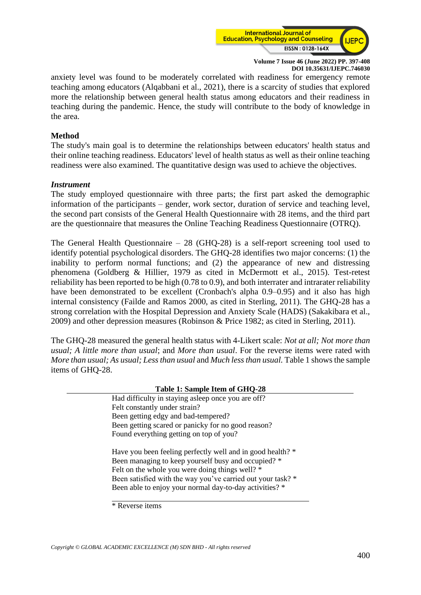

anxiety level was found to be moderately correlated with readiness for emergency remote teaching among educators (Alqabbani et al., 2021), there is a scarcity of studies that explored more the relationship between general health status among educators and their readiness in teaching during the pandemic. Hence, the study will contribute to the body of knowledge in the area.

#### **Method**

The study's main goal is to determine the relationships between educators' health status and their online teaching readiness. Educators' level of health status as well as their online teaching readiness were also examined. The quantitative design was used to achieve the objectives.

#### *Instrument*

The study employed questionnaire with three parts; the first part asked the demographic information of the participants – gender, work sector, duration of service and teaching level, the second part consists of the General Health Questionnaire with 28 items, and the third part are the questionnaire that measures the Online Teaching Readiness Questionnaire (OTRQ).

The General Health Questionnaire – 28 (GHQ-28) is a self-report screening tool used to identify potential psychological disorders. The GHQ-28 identifies two major concerns: (1) the inability to perform normal functions; and (2) the appearance of new and distressing phenomena (Goldberg & Hillier, 1979 as cited in McDermott et al., 2015). Test-retest reliability has been reported to be high (0.78 to 0.9), and both interrater and intrarater reliability have been demonstrated to be excellent (Cronbach's alpha 0.9–0.95) and it also has high internal consistency (Failde and Ramos 2000, as cited in Sterling, 2011). The GHQ-28 has a strong correlation with the Hospital Depression and Anxiety Scale (HADS) (Sakakibara et al., 2009) and other depression measures (Robinson & Price 1982; as cited in Sterling, 2011).

The GHQ-28 measured the general health status with 4-Likert scale: *Not at all; Not more than usual; A little more than usual*; and *More than usual*. For the reverse items were rated with *More than usual; As usual; Less than usual* and *Much less than usual.* Table 1 shows the sample items of GHQ-28.

| Table 1: Sample Item of GHQ-28 |                                                             |  |
|--------------------------------|-------------------------------------------------------------|--|
|                                | Had difficulty in staying asleep once you are off?          |  |
|                                | Felt constantly under strain?                               |  |
|                                | Been getting edgy and bad-tempered?                         |  |
|                                | Been getting scared or panicky for no good reason?          |  |
|                                | Found everything getting on top of you?                     |  |
|                                |                                                             |  |
|                                | Have you been feeling perfectly well and in good health? *  |  |
|                                | Been managing to keep yourself busy and occupied? *         |  |
|                                | Felt on the whole you were doing things well? *             |  |
|                                | Been satisfied with the way you've carried out your task? * |  |
|                                | Been able to enjoy your normal day-to-day activities? *     |  |
|                                |                                                             |  |

<sup>\*</sup> Reverse items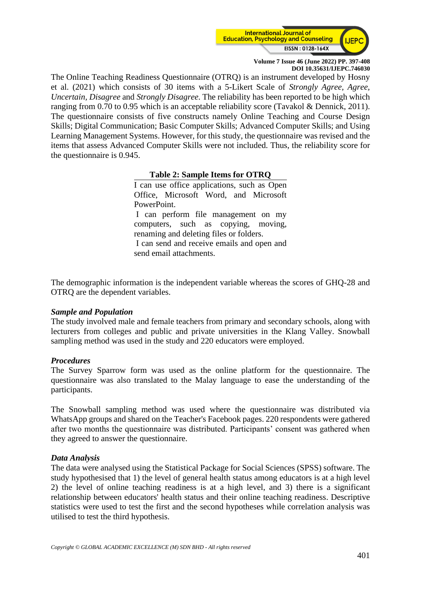

The Online Teaching Readiness Questionnaire (OTRQ) is an instrument developed by Hosny et al. (2021) which consists of 30 items with a 5-Likert Scale of *Strongly Agree, Agree, Uncertain, Disagree* and *Strongly Disagree*. The reliability has been reported to be high which ranging from 0.70 to 0.95 which is an acceptable reliability score (Tavakol & Dennick, 2011). The questionnaire consists of five constructs namely Online Teaching and Course Design Skills; Digital Communication; Basic Computer Skills; Advanced Computer Skills; and Using Learning Management Systems. However, for this study, the questionnaire was revised and the items that assess Advanced Computer Skills were not included. Thus, the reliability score for the questionnaire is 0.945.

#### **Table 2: Sample Items for OTRQ**

I can use office applications, such as Open Office, Microsoft Word, and Microsoft PowerPoint. I can perform file management on my computers, such as copying, moving, renaming and deleting files or folders. I can send and receive emails and open and send email attachments.

The demographic information is the independent variable whereas the scores of GHQ-28 and OTRQ are the dependent variables.

#### *Sample and Population*

The study involved male and female teachers from primary and secondary schools, along with lecturers from colleges and public and private universities in the Klang Valley. Snowball sampling method was used in the study and 220 educators were employed.

#### *Procedures*

The Survey Sparrow form was used as the online platform for the questionnaire. The questionnaire was also translated to the Malay language to ease the understanding of the participants.

The Snowball sampling method was used where the questionnaire was distributed via WhatsApp groups and shared on the Teacher's Facebook pages. 220 respondents were gathered after two months the questionnaire was distributed. Participants' consent was gathered when they agreed to answer the questionnaire.

#### *Data Analysis*

The data were analysed using the Statistical Package for Social Sciences (SPSS) software. The study hypothesised that 1) the level of general health status among educators is at a high level 2) the level of online teaching readiness is at a high level, and 3) there is a significant relationship between educators' health status and their online teaching readiness. Descriptive statistics were used to test the first and the second hypotheses while correlation analysis was utilised to test the third hypothesis.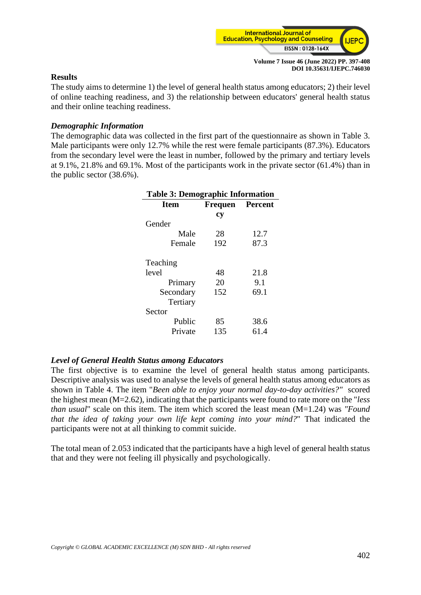

#### **Results**

The study aims to determine 1) the level of general health status among educators; 2) their level of online teaching readiness, and 3) the relationship between educators' general health status and their online teaching readiness.

#### *Demographic Information*

The demographic data was collected in the first part of the questionnaire as shown in Table 3. Male participants were only 12.7% while the rest were female participants (87.3%). Educators from the secondary level were the least in number, followed by the primary and tertiary levels at 9.1%, 21.8% and 69.1%. Most of the participants work in the private sector (61.4%) than in the public sector (38.6%).

| <b>Table 3: Demographic Information</b> |                        |      |  |
|-----------------------------------------|------------------------|------|--|
| <b>Item</b>                             | <b>Frequen Percent</b> |      |  |
|                                         | cy                     |      |  |
| Gender                                  |                        |      |  |
| Male                                    | 28                     | 12.7 |  |
| Female                                  | 192                    | 87.3 |  |
| Teaching                                |                        |      |  |
| level                                   | 48                     | 21.8 |  |
| Primary                                 | 20                     | 9.1  |  |
| Secondary                               | 152                    | 69.1 |  |
| Tertiary                                |                        |      |  |
| Sector                                  |                        |      |  |
| Public                                  | 85                     | 38.6 |  |
| Private                                 | 135                    | 61.4 |  |

#### *Level of General Health Status among Educators*

The first objective is to examine the level of general health status among participants. Descriptive analysis was used to analyse the levels of general health status among educators as shown in Table 4. The item "*Been able to enjoy your normal day-to-day activities?"* scored the highest mean (M=2.62), indicating that the participants were found to rate more on the "*less than usual*" scale on this item. The item which scored the least mean (M=1.24) was *"Found that the idea of taking your own life kept coming into your mind?*" That indicated the participants were not at all thinking to commit suicide.

The total mean of 2.053 indicated that the participants have a high level of general health status that and they were not feeling ill physically and psychologically.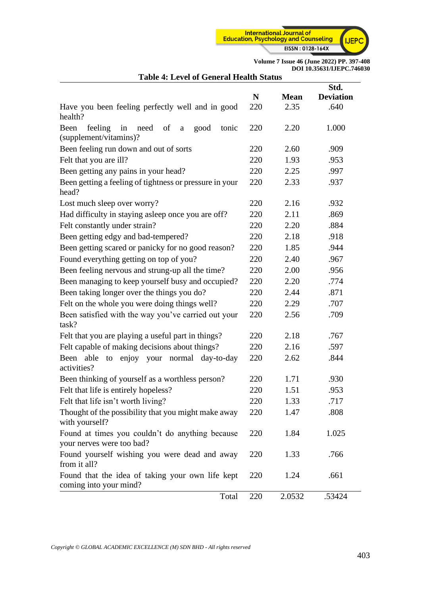

| Table 4. Level of General Health Status                                       |     |             | Std.             |
|-------------------------------------------------------------------------------|-----|-------------|------------------|
|                                                                               | N   | <b>Mean</b> | <b>Deviation</b> |
| Have you been feeling perfectly well and in good<br>health?                   | 220 | 2.35        | .640             |
| Been<br>feeling<br>in<br>need of a<br>good<br>tonic<br>(supplement/vitamins)? | 220 | 2.20        | 1.000            |
| Been feeling run down and out of sorts                                        | 220 | 2.60        | .909             |
| Felt that you are ill?                                                        | 220 | 1.93        | .953             |
| Been getting any pains in your head?                                          | 220 | 2.25        | .997             |
| Been getting a feeling of tightness or pressure in your<br>head?              | 220 | 2.33        | .937             |
| Lost much sleep over worry?                                                   | 220 | 2.16        | .932             |
| Had difficulty in staying asleep once you are off?                            | 220 | 2.11        | .869             |
| Felt constantly under strain?                                                 | 220 | 2.20        | .884             |
| Been getting edgy and bad-tempered?                                           | 220 | 2.18        | .918             |
| Been getting scared or panicky for no good reason?                            | 220 | 1.85        | .944             |
| Found everything getting on top of you?                                       | 220 | 2.40        | .967             |
| Been feeling nervous and strung-up all the time?                              | 220 | 2.00        | .956             |
| Been managing to keep yourself busy and occupied?                             | 220 | 2.20        | .774             |
| Been taking longer over the things you do?                                    | 220 | 2.44        | .871             |
| Felt on the whole you were doing things well?                                 | 220 | 2.29        | .707             |
| Been satisfied with the way you've carried out your<br>task?                  | 220 | 2.56        | .709             |
| Felt that you are playing a useful part in things?                            | 220 | 2.18        | .767             |
| Felt capable of making decisions about things?                                | 220 | 2.16        | .597             |
| enjoy your normal day-to-day<br>Been able<br>to<br>activities?                | 220 | 2.62        | .844             |
| Been thinking of yourself as a worthless person?                              | 220 | 1.71        | .930             |
| Felt that life is entirely hopeless?                                          | 220 | 1.51        | .953             |
| Felt that life isn't worth living?                                            | 220 | 1.33        | .717             |
| Thought of the possibility that you might make away<br>with yourself?         | 220 | 1.47        | .808             |
| Found at times you couldn't do anything because<br>your nerves were too bad?  | 220 | 1.84        | 1.025            |
| Found yourself wishing you were dead and away<br>from it all?                 | 220 | 1.33        | .766             |
| Found that the idea of taking your own life kept<br>coming into your mind?    | 220 | 1.24        | .661             |
| Total                                                                         | 220 | 2.0532      | .53424           |

## **Table 4: Level of General Health Status**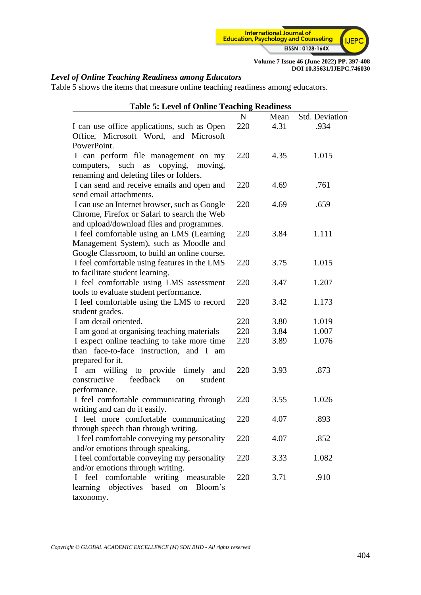

## *Level of Online Teaching Readiness among Educators*

Table 5 shows the items that measure online teaching readiness among educators.

| <b>Table 5: Level of Online Teaching Readiness</b>                              |             |      |                |
|---------------------------------------------------------------------------------|-------------|------|----------------|
|                                                                                 | $\mathbf N$ | Mean | Std. Deviation |
| I can use office applications, such as Open                                     | 220         | 4.31 | .934           |
| Office, Microsoft Word, and Microsoft                                           |             |      |                |
| PowerPoint.                                                                     |             |      |                |
| I can perform file management on my                                             | 220         | 4.35 | 1.015          |
| copying, moving,<br>computers, such as                                          |             |      |                |
| renaming and deleting files or folders.                                         |             |      |                |
| I can send and receive emails and open and                                      | 220         | 4.69 | .761           |
| send email attachments.                                                         |             |      |                |
| I can use an Internet browser, such as Google                                   | 220         | 4.69 | .659           |
| Chrome, Firefox or Safari to search the Web                                     |             |      |                |
| and upload/download files and programmes.                                       |             |      |                |
| I feel comfortable using an LMS (Learning                                       | 220         | 3.84 | 1.111          |
| Management System), such as Moodle and                                          |             |      |                |
| Google Classroom, to build an online course.                                    |             |      |                |
| I feel comfortable using features in the LMS                                    | 220         | 3.75 | 1.015          |
| to facilitate student learning.                                                 |             |      |                |
| I feel comfortable using LMS assessment                                         | 220         | 3.47 | 1.207          |
| tools to evaluate student performance.                                          |             |      |                |
| I feel comfortable using the LMS to record                                      | 220         | 3.42 | 1.173          |
| student grades.                                                                 |             |      |                |
| I am detail oriented.                                                           | 220         | 3.80 | 1.019          |
| I am good at organising teaching materials                                      | 220         | 3.84 | 1.007          |
| I expect online teaching to take more time                                      | 220         | 3.89 | 1.076          |
| than face-to-face instruction, and I am                                         |             |      |                |
| prepared for it.                                                                | 220         |      | .873           |
| am willing to provide timely<br>I<br>and<br>feedback<br>constructive<br>student |             | 3.93 |                |
| <sub>on</sub><br>performance.                                                   |             |      |                |
| I feel comfortable communicating through                                        | 220         | 3.55 | 1.026          |
| writing and can do it easily.                                                   |             |      |                |
| I feel more comfortable communicating                                           | 220         | 4.07 | .893           |
| through speech than through writing.                                            |             |      |                |
| I feel comfortable conveying my personality                                     | 220         | 4.07 | .852           |
| and/or emotions through speaking.                                               |             |      |                |
| I feel comfortable conveying my personality                                     | 220         | 3.33 | 1.082          |
| and/or emotions through writing.                                                |             |      |                |
| feel comfortable writing measurable<br>L                                        | 220         | 3.71 | .910           |
| objectives<br>based on<br>Bloom's<br>learning                                   |             |      |                |
| taxonomy.                                                                       |             |      |                |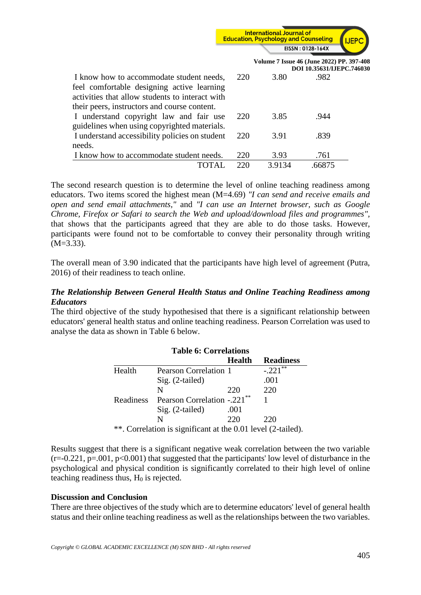

|                                                                                                                                                                                           |     |        | Volume 7 Issue 46 (June 2022) PP. 397-408<br>DOI 10.35631/IJEPC.746030 |  |
|-------------------------------------------------------------------------------------------------------------------------------------------------------------------------------------------|-----|--------|------------------------------------------------------------------------|--|
| I know how to accommodate student needs,<br>feel comfortable designing active learning<br>activities that allow students to interact with<br>their peers, instructors and course content. | 220 | 3.80   | .982                                                                   |  |
| I understand copyright law and fair use<br>guidelines when using copyrighted materials.                                                                                                   | 220 | 3.85   | .944                                                                   |  |
| I understand accessibility policies on student<br>needs.                                                                                                                                  | 220 | 3.91   | .839                                                                   |  |
| I know how to accommodate student needs.                                                                                                                                                  | 220 | 3.93   | .761                                                                   |  |
|                                                                                                                                                                                           | 220 | 3.9134 | .66875                                                                 |  |

The second research question is to determine the level of online teaching readiness among educators. Two items scored the highest mean (M=4.69) *"I can send and receive emails and open and send email attachments,"* and *"I can use an Internet browser, such as Google Chrome, Firefox or Safari to search the Web and upload/download files and programmes",*  that shows that the participants agreed that they are able to do those tasks. However, participants were found not to be comfortable to convey their personality through writing (M=3.33).

The overall mean of 3.90 indicated that the participants have high level of agreement (Putra, 2016) of their readiness to teach online.

### *The Relationship Between General Health Status and Online Teaching Readiness among Educators*

The third objective of the study hypothesised that there is a significant relationship between educators' general health status and online teaching readiness. Pearson Correlation was used to analyse the data as shown in Table 6 below.

| <b>Table 6: Correlations</b>                                |                                         |        |                  |
|-------------------------------------------------------------|-----------------------------------------|--------|------------------|
|                                                             |                                         | Health | <b>Readiness</b> |
| Health                                                      | <b>Pearson Correlation 1</b>            |        | $-.221***$       |
|                                                             | $Sig. (2-tailed)$                       |        | .001             |
|                                                             | N                                       | 220    | 220              |
| Readiness                                                   | Pearson Correlation -.221 <sup>**</sup> |        |                  |
|                                                             | $Sig. (2-tailed)$                       | .001   |                  |
|                                                             | N                                       | 220    | 220              |
| ** Completion is significant at the 0.01 level $(2 \nto 1)$ |                                         |        |                  |

\*\*. Correlation is significant at the 0.01 level (2-tailed).

Results suggest that there is a significant negative weak correlation between the two variable  $(r=0.221, p=.001, p<0.001)$  that suggested that the participants' low level of disturbance in the psychological and physical condition is significantly correlated to their high level of online teaching readiness thus,  $H_0$  is rejected.

#### **Discussion and Conclusion**

There are three objectives of the study which are to determine educators' level of general health status and their online teaching readiness as well as the relationships between the two variables.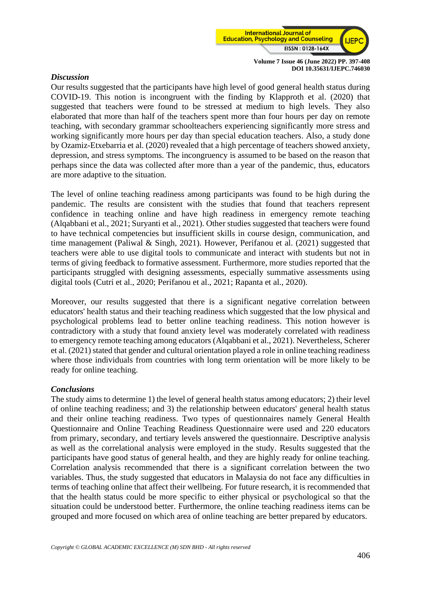

#### *Discussion*

Our results suggested that the participants have high level of good general health status during COVID-19. This notion is incongruent with the finding by Klapproth et al. (2020) that suggested that teachers were found to be stressed at medium to high levels. They also elaborated that more than half of the teachers spent more than four hours per day on remote teaching, with secondary grammar schoolteachers experiencing significantly more stress and working significantly more hours per day than special education teachers. Also, a study done by Ozamiz-Etxebarria et al. (2020) revealed that a high percentage of teachers showed anxiety, depression, and stress symptoms. The incongruency is assumed to be based on the reason that perhaps since the data was collected after more than a year of the pandemic, thus, educators are more adaptive to the situation.

The level of online teaching readiness among participants was found to be high during the pandemic. The results are consistent with the studies that found that teachers represent confidence in teaching online and have high readiness in emergency remote teaching (Alqabbani et al., 2021; Suryanti et al., 2021). Other studies suggested that teachers were found to have technical competencies but insufficient skills in course design, communication, and time management (Paliwal & Singh, 2021). However, Perifanou et al. (2021) suggested that teachers were able to use digital tools to communicate and interact with students but not in terms of giving feedback to formative assessment. Furthermore, more studies reported that the participants struggled with designing assessments, especially summative assessments using digital tools (Cutri et al., 2020; Perifanou et al., 2021; Rapanta et al., 2020).

Moreover, our results suggested that there is a significant negative correlation between educators' health status and their teaching readiness which suggested that the low physical and psychological problems lead to better online teaching readiness. This notion however is contradictory with a study that found anxiety level was moderately correlated with readiness to emergency remote teaching among educators (Alqabbani et al., 2021). Nevertheless, Scherer et al. (2021) stated that gender and cultural orientation played a role in online teaching readiness where those individuals from countries with long term orientation will be more likely to be ready for online teaching.

#### *Conclusions*

The study aims to determine 1) the level of general health status among educators; 2) their level of online teaching readiness; and 3) the relationship between educators' general health status and their online teaching readiness. Two types of questionnaires namely General Health Questionnaire and Online Teaching Readiness Questionnaire were used and 220 educators from primary, secondary, and tertiary levels answered the questionnaire. Descriptive analysis as well as the correlational analysis were employed in the study. Results suggested that the participants have good status of general health, and they are highly ready for online teaching. Correlation analysis recommended that there is a significant correlation between the two variables. Thus, the study suggested that educators in Malaysia do not face any difficulties in terms of teaching online that affect their wellbeing. For future research, it is recommended that that the health status could be more specific to either physical or psychological so that the situation could be understood better. Furthermore, the online teaching readiness items can be grouped and more focused on which area of online teaching are better prepared by educators.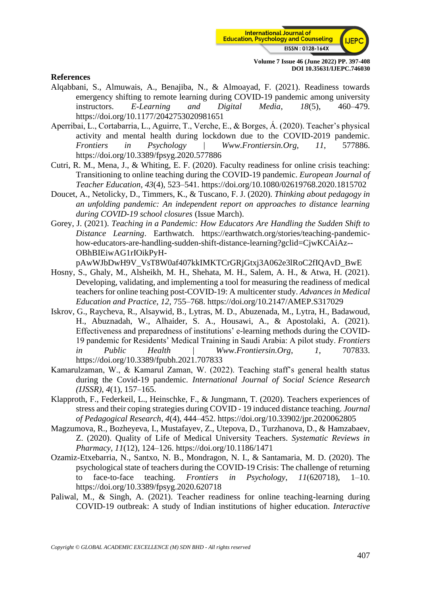

#### **References**

- Alqabbani, S., Almuwais, A., Benajiba, N., & Almoayad, F. (2021). Readiness towards emergency shifting to remote learning during COVID-19 pandemic among university instructors. *E-Learning and Digital Media*, *18*(5), 460–479. https://doi.org/10.1177/2042753020981651
- Aperribai, L., Cortabarria, L., Aguirre, T., Verche, E., & Borges, Á. (2020). Teacher's physical activity and mental health during lockdown due to the COVID-2019 pandemic. *Frontiers in Psychology | Www.Frontiersin.Org*, *11*, 577886. https://doi.org/10.3389/fpsyg.2020.577886
- Cutri, R. M., Mena, J., & Whiting, E. F. (2020). Faculty readiness for online crisis teaching: Transitioning to online teaching during the COVID-19 pandemic. *European Journal of Teacher Education*, *43*(4), 523–541. https://doi.org/10.1080/02619768.2020.1815702
- Doucet, A., Netolicky, D., Timmers, K., & Tuscano, F. J. (2020). *Thinking about pedagogy in an unfolding pandemic: An independent report on approaches to distance learning during COVID-19 school closures* (Issue March).
- Gorey, J. (2021). *Teaching in a Pandemic: How Educators Are Handling the Sudden Shift to Distance Learning*. Earthwatch. https://earthwatch.org/stories/teaching-pandemichow-educators-are-handling-sudden-shift-distance-learning?gclid=CjwKCAiAz-- OBhBIEiwAG1rIOikPyH
	- pAwWJbDwH9V\_VsT8W0af407kkIMKTCrGRjGtxj3A062e3lRoC2fIQAvD\_BwE
- Hosny, S., Ghaly, M., Alsheikh, M. H., Shehata, M. H., Salem, A. H., & Atwa, H. (2021). Developing, validating, and implementing a tool for measuring the readiness of medical teachers for online teaching post-COVID-19: A multicenter study. *Advances in Medical Education and Practice*, *12*, 755–768. https://doi.org/10.2147/AMEP.S317029
- Iskrov, G., Raycheva, R., Alsaywid, B., Lytras, M. D., Abuzenada, M., Lytra, H., Badawoud, H., Abuznadah, W., Alhaider, S. A., Housawi, A., & Apostolaki, A. (2021). Effectiveness and preparedness of institutions' e-learning methods during the COVID-19 pandemic for Residents' Medical Training in Saudi Arabia: A pilot study. *Frontiers in Public Health | Www.Frontiersin.Org*, *1*, 707833. https://doi.org/10.3389/fpubh.2021.707833
- Kamarulzaman, W., & Kamarul Zaman, W. (2022). Teaching staff's general health status during the Covid-19 pandemic. *International Journal of Social Science Research (IJSSR)*, *4*(1), 157–165.
- Klapproth, F., Federkeil, L., Heinschke, F., & Jungmann, T. (2020). Teachers experiences of stress and their coping strategies during COVID - 19 induced distance teaching. *Journal of Pedagogical Research*, *4*(4), 444–452. https://doi.org/10.33902/jpr.2020062805
- Magzumova, R., Bozheyeva, I., Mustafayev, Z., Utepova, D., Turzhanova, D., & Hamzabaev, Z. (2020). Quality of Life of Medical University Teachers. *Systematic Reviews in Pharmacy*, *11*(12), 124–126. https://doi.org/10.1186/1471
- Ozamiz-Etxebarria, N., Santxo, N. B., Mondragon, N. I., & Santamaria, M. D. (2020). The psychological state of teachers during the COVID-19 Crisis: The challenge of returning to face-to-face teaching. *Frontiers in Psychology*, *11*(620718), 1–10. https://doi.org/10.3389/fpsyg.2020.620718
- Paliwal, M., & Singh, A. (2021). Teacher readiness for online teaching-learning during COVID-19 outbreak: A study of Indian institutions of higher education. *Interactive*